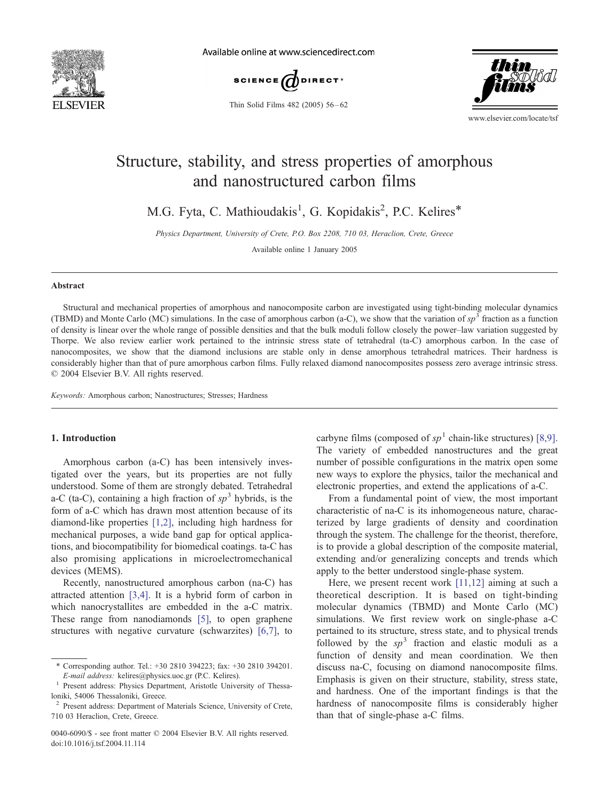

Available online at www.sciencedirect.com



Thin Solid Films 482 (2005) 56 – 62



www.elsevier.com/locate/tsf

# Structure, stability, and stress properties of amorphous and nanostructured carbon films

M.G. Fyta, C. Mathioudakis<sup>1</sup>, G. Kopidakis<sup>2</sup>, P.C. Kelires<sup>\*</sup>

Physics Department, University of Crete, P.O. Box 2208, 710 03, Heraclion, Crete, Greece

Available online 1 January 2005

#### Abstract

Structural and mechanical properties of amorphous and nanocomposite carbon are investigated using tight-binding molecular dynamics (TBMD) and Monte Carlo (MC) simulations. In the case of amorphous carbon (a-C), we show that the variation of  $sp<sup>3</sup>$  fraction as a function of density is linear over the whole range of possible densities and that the bulk moduli follow closely the power–law variation suggested by Thorpe. We also review earlier work pertained to the intrinsic stress state of tetrahedral (ta-C) amorphous carbon. In the case of nanocomposites, we show that the diamond inclusions are stable only in dense amorphous tetrahedral matrices. Their hardness is considerably higher than that of pure amorphous carbon films. Fully relaxed diamond nanocomposites possess zero average intrinsic stress.  $© 2004 Elsevier B.V. All rights reserved.$ 

Keywords: Amorphous carbon; Nanostructures; Stresses; Hardness

## 1. Introduction

Amorphous carbon (a-C) has been intensively investigated over the years, but its properties are not fully understood. Some of them are strongly debated. Tetrahedral a-C (ta-C), containing a high fraction of  $sp<sup>3</sup>$  hybrids, is the form of a-C which has drawn most attention because of its diamond-like properties [\[1,2\],](#page-6-0) including high hardness for mechanical purposes, a wide band gap for optical applications, and biocompatibility for biomedical coatings. ta-C has also promising applications in microelectromechanical devices (MEMS).

Recently, nanostructured amorphous carbon (na-C) has attracted attention [\[3,4\].](#page-6-0) It is a hybrid form of carbon in which nanocrystallites are embedded in the a-C matrix. These range from nanodiamonds [\[5\],](#page-6-0) to open graphene structures with negative curvature (schwarzites) [\[6,7\],](#page-6-0) to

carbyne films (composed of  $sp<sup>1</sup>$  chain-like structures) [\[8,9\].](#page-6-0) The variety of embedded nanostructures and the great number of possible configurations in the matrix open some new ways to explore the physics, tailor the mechanical and electronic properties, and extend the applications of a-C.

From a fundamental point of view, the most important characteristic of na-C is its inhomogeneous nature, characterized by large gradients of density and coordination through the system. The challenge for the theorist, therefore, is to provide a global description of the composite material, extending and/or generalizing concepts and trends which apply to the better understood single-phase system.

Here, we present recent work [\[11,12\]](#page-6-0) aiming at such a theoretical description. It is based on tight-binding molecular dynamics (TBMD) and Monte Carlo (MC) simulations. We first review work on single-phase a-C pertained to its structure, stress state, and to physical trends followed by the  $sp<sup>3</sup>$  fraction and elastic moduli as a function of density and mean coordination. We then discuss na-C, focusing on diamond nanocomposite films. Emphasis is given on their structure, stability, stress state, and hardness. One of the important findings is that the hardness of nanocomposite films is considerably higher than that of single-phase a-C films.

<sup>\*</sup> Corresponding author. Tel.: +30 2810 394223; fax: +30 2810 394201. E-mail address: kelires@physics.uoc.gr (P.C. Kelires). <sup>1</sup> Present address: Physics Department, Aristotle University of Thessa-

loniki, 54006 Thessaloniki, Greece.

<sup>&</sup>lt;sup>2</sup> Present address: Department of Materials Science, University of Crete, 710 03 Heraclion, Crete, Greece.

<sup>0040-6090/\$ -</sup> see front matter © 2004 Elsevier B.V. All rights reserved. doi:10.1016/j.tsf.2004.11.114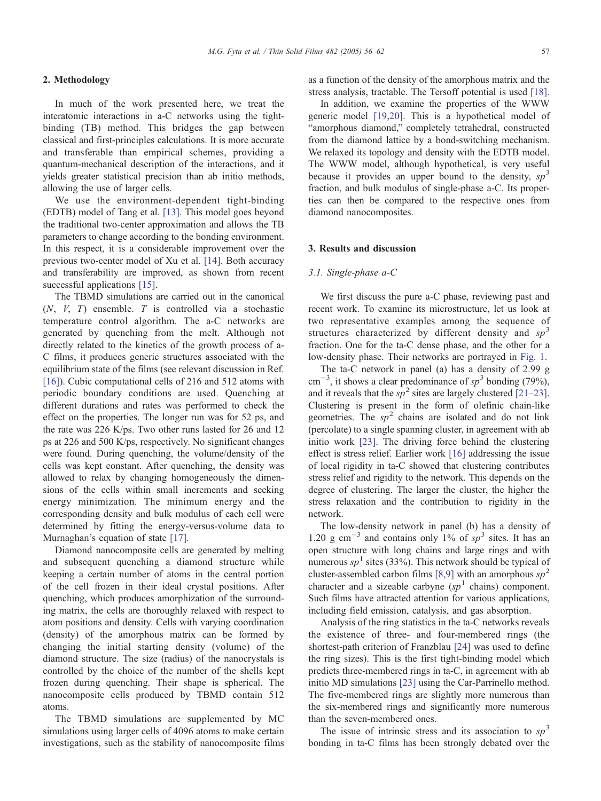# 2. Methodology

In much of the work presented here, we treat the interatomic interactions in a-C networks using the tightbinding (TB) method. This bridges the gap between classical and first-principles calculations. It is more accurate and transferable than empirical schemes, providing a quantum-mechanical description of the interactions, and it yields greater statistical precision than ab initio methods, allowing the use of larger cells.

We use the environment-dependent tight-binding (EDTB) model of Tang et al. [\[13\].](#page-6-0) This model goes beyond the traditional two-center approximation and allows the TB parameters to change according to the bonding environment. In this respect, it is a considerable improvement over the previous two-center model of Xu et al. [\[14\].](#page-6-0) Both accuracy and transferability are improved, as shown from recent successful applications [\[15\].](#page-6-0)

The TBMD simulations are carried out in the canonical  $(N, V, T)$  ensemble. T is controlled via a stochastic temperature control algorithm. The a-C networks are generated by quenching from the melt. Although not directly related to the kinetics of the growth process of a-C films, it produces generic structures associated with the equilibrium state of the films (see relevant discussion in Ref. [\[16\]\)](#page-6-0). Cubic computational cells of 216 and 512 atoms with periodic boundary conditions are used. Quenching at different durations and rates was performed to check the effect on the properties. The longer run was for 52 ps, and the rate was 226 K/ps. Two other runs lasted for 26 and 12 ps at 226 and 500 K/ps, respectively. No significant changes were found. During quenching, the volume/density of the cells was kept constant. After quenching, the density was allowed to relax by changing homogeneously the dimensions of the cells within small increments and seeking energy minimization. The minimum energy and the corresponding density and bulk modulus of each cell were determined by fitting the energy-versus-volume data to Murnaghan's equation of state [\[17\].](#page-6-0)

Diamond nanocomposite cells are generated by melting and subsequent quenching a diamond structure while keeping a certain number of atoms in the central portion of the cell frozen in their ideal crystal positions. After quenching, which produces amorphization of the surrounding matrix, the cells are thoroughly relaxed with respect to atom positions and density. Cells with varying coordination (density) of the amorphous matrix can be formed by changing the initial starting density (volume) of the diamond structure. The size (radius) of the nanocrystals is controlled by the choice of the number of the shells kept frozen during quenching. Their shape is spherical. The nanocomposite cells produced by TBMD contain 512 atoms.

The TBMD simulations are supplemented by MC simulations using larger cells of 4096 atoms to make certain investigations, such as the stability of nanocomposite films

as a function of the density of the amorphous matrix and the stress analysis, tractable. The Tersoff potential is used [\[18\].](#page-6-0)

In addition, we examine the properties of the WWW generic model [\[19,20\].](#page-6-0) This is a hypothetical model of "amorphous diamond," completely tetrahedral, constructed from the diamond lattice by a bond-switching mechanism. We relaxed its topology and density with the EDTB model. The WWW model, although hypothetical, is very useful because it provides an upper bound to the density,  $sp<sup>3</sup>$ fraction, and bulk modulus of single-phase a-C. Its properties can then be compared to the respective ones from diamond nanocomposites.

## 3. Results and discussion

## 3.1. Single-phase a-C

We first discuss the pure a-C phase, reviewing past and recent work. To examine its microstructure, let us look at two representative examples among the sequence of structures characterized by different density and  $sp<sup>3</sup>$ fraction. One for the ta-C dense phase, and the other for a low-density phase. Their networks are portrayed in [Fig. 1.](#page-2-0)

The ta-C network in panel (a) has a density of 2.99 g cm<sup>-3</sup>, it shows a clear predominance of sp<sup>3</sup> bonding (79%), and it reveals that the  $sp^2$  sites are largely clustered [\[21–23\].](#page-6-0) Clustering is present in the form of olefinic chain-like geometries. The  $sp^2$  chains are isolated and do not link (percolate) to a single spanning cluster, in agreement with ab initio work [\[23\].](#page-6-0) The driving force behind the clustering effect is stress relief. Earlier work [\[16\]](#page-6-0) addressing the issue of local rigidity in ta-C showed that clustering contributes stress relief and rigidity to the network. This depends on the degree of clustering. The larger the cluster, the higher the stress relaxation and the contribution to rigidity in the network.

The low-density network in panel (b) has a density of 1.20 g cm<sup>-3</sup> and contains only 1% of  $sp^3$  sites. It has an open structure with long chains and large rings and with numerous  $sp<sup>1</sup>$  sites (33%). This network should be typical of cluster-assembled carbon films [\[8,9\]](#page-6-0) with an amorphous  $sp^2$ character and a sizeable carbyne  $(sp^1$  chains) component. Such films have attracted attention for various applications, including field emission, catalysis, and gas absorption.

Analysis of the ring statistics in the ta-C networks reveals the existence of three- and four-membered rings (the shortest-path criterion of Franzblau [\[24\]](#page-6-0) was used to define the ring sizes). This is the first tight-binding model which predicts three-membered rings in ta-C, in agreement with ab initio MD simulations [\[23\]](#page-6-0) using the Car-Parrinello method. The five-membered rings are slightly more numerous than the six-membered rings and significantly more numerous than the seven-membered ones.

The issue of intrinsic stress and its association to  $sp<sup>3</sup>$ bonding in ta-C films has been strongly debated over the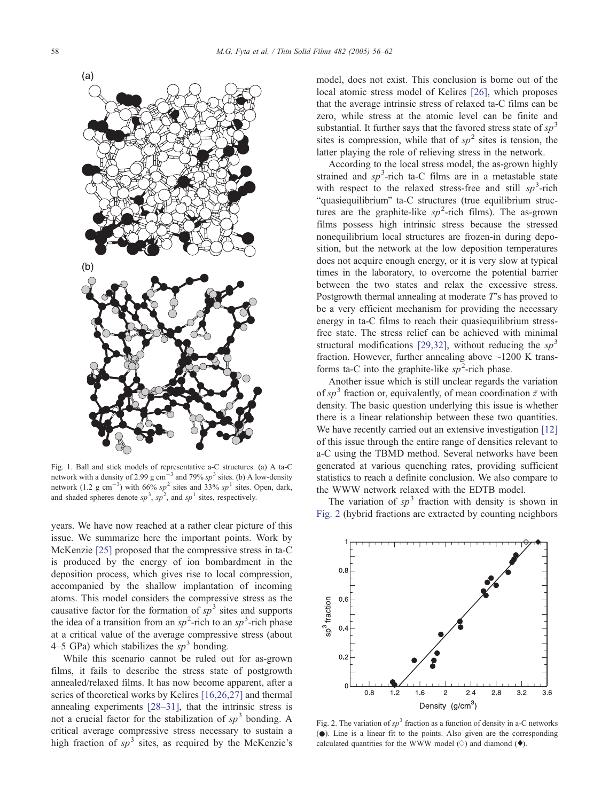<span id="page-2-0"></span>

Fig. 1. Ball and stick models of representative a-C structures. (a) A ta-C network with a density of 2.99 g cm<sup>-3</sup> and 79% sp<sup>3</sup> sites. (b) A low-density network (1.2 g cm<sup>-3</sup>) with 66% sp<sup>2</sup> sites and 33% sp<sup>1</sup> sites. Open, dark, and shaded spheres denote  $sp^3$ ,  $sp^2$ , and  $sp^1$  sites, respectively.

years. We have now reached at a rather clear picture of this issue. We summarize here the important points. Work by McKenzie [\[25\]](#page-6-0) proposed that the compressive stress in ta-C is produced by the energy of ion bombardment in the deposition process, which gives rise to local compression, accompanied by the shallow implantation of incoming atoms. This model considers the compressive stress as the causative factor for the formation of  $sp^3$  sites and supports the idea of a transition from an  $sp^2$ -rich to an  $sp^3$ -rich phase at a critical value of the average compressive stress (about 4–5 GPa) which stabilizes the  $sp<sup>3</sup>$  bonding.

While this scenario cannot be ruled out for as-grown films, it fails to describe the stress state of postgrowth annealed/relaxed films. It has now become apparent, after a series of theoretical works by Kelires [\[16,26,27\]](#page-6-0) and thermal annealing experiments [\[28–31\],](#page-6-0) that the intrinsic stress is not a crucial factor for the stabilization of  $sp^3$  bonding. A critical average compressive stress necessary to sustain a high fraction of  $sp^3$  sites, as required by the McKenzie's model, does not exist. This conclusion is borne out of the local atomic stress model of Kelires [\[26\],](#page-6-0) which proposes that the average intrinsic stress of relaxed ta-C films can be zero, while stress at the atomic level can be finite and substantial. It further says that the favored stress state of  $sp<sup>3</sup>$ sites is compression, while that of  $sp^2$  sites is tension, the latter playing the role of relieving stress in the network.

According to the local stress model, the as-grown highly strained and  $sp^3$ -rich ta-C films are in a metastable state with respect to the relaxed stress-free and still  $sp^3$ -rich "quasiequilibrium" ta-C structures (true equilibrium structures are the graphite-like  $sp^2$ -rich films). The as-grown films possess high intrinsic stress because the stressed nonequilibrium local structures are frozen-in during deposition, but the network at the low deposition temperatures does not acquire enough energy, or it is very slow at typical times in the laboratory, to overcome the potential barrier between the two states and relax the excessive stress. Postgrowth thermal annealing at moderate T's has proved to be a very efficient mechanism for providing the necessary energy in ta-C films to reach their quasiequilibrium stressfree state. The stress relief can be achieved with minimal structural modifications [\[29,32\],](#page-6-0) without reducing the  $sp<sup>3</sup>$ fraction. However, further annealing above  $\sim$ 1200 K transforms ta-C into the graphite-like  $sp^2$ -rich phase.

Another issue which is still unclear regards the variation of  $s p<sup>3</sup>$  fraction or, equivalently, of mean coordination  $\bar{z}$  with density. The basic question underlying this issue is whether there is a linear relationship between these two quantities. We have recently carried out an extensive investigation [\[12\]](#page-6-0) of this issue through the entire range of densities relevant to a-C using the TBMD method. Several networks have been generated at various quenching rates, providing sufficient statistics to reach a definite conclusion. We also compare to the WWW network relaxed with the EDTB model.

The variation of  $sp<sup>3</sup>$  fraction with density is shown in Fig. 2 (hybrid fractions are extracted by counting neighbors



Fig. 2. The variation of  $sp^3$  fraction as a function of density in a-C networks (.). Line is a linear fit to the points. Also given are the corresponding calculated quantities for the WWW model  $\Diamond$  and diamond  $\Diamond$ ).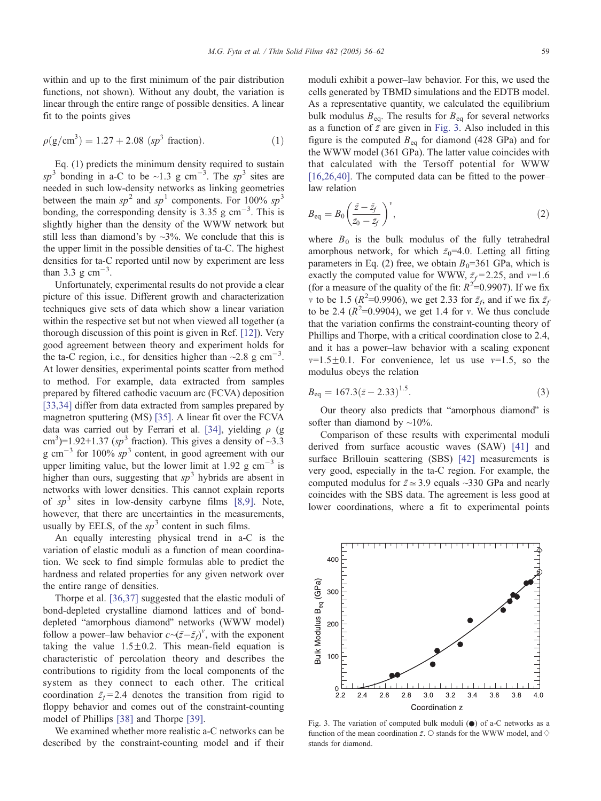within and up to the first minimum of the pair distribution functions, not shown). Without any doubt, the variation is linear through the entire range of possible densities. A linear fit to the points gives

$$
\rho(g/cm^3) = 1.27 + 2.08 \ (sp^3 \text{ fraction}). \tag{1}
$$

Eq. (1) predicts the minimum density required to sustain sp<sup>3</sup> bonding in a-C to be ~1.3 g cm<sup>-3</sup>. The sp<sup>3</sup> sites are needed in such low-density networks as linking geometries between the main  $sp^2$  and  $sp^1$  components. For 100%  $sp^3$ bonding, the corresponding density is  $3.35$  g cm<sup>-3</sup>. This is slightly higher than the density of the WWW network but still less than diamond's by  $\sim$ 3%. We conclude that this is the upper limit in the possible densities of ta-C. The highest densities for ta-C reported until now by experiment are less than 3.3 g  $\text{cm}^{-3}$ .

Unfortunately, experimental results do not provide a clear picture of this issue. Different growth and characterization techniques give sets of data which show a linear variation within the respective set but not when viewed all together (a thorough discussion of this point is given in Ref. [\[12\]\)](#page-6-0). Very good agreement between theory and experiment holds for the ta-C region, i.e., for densities higher than  $\sim$ 2.8 g cm<sup>-3</sup>. At lower densities, experimental points scatter from method to method. For example, data extracted from samples prepared by filtered cathodic vacuum arc (FCVA) deposition [\[33,34\]](#page-6-0) differ from data extracted from samples prepared by magnetron sputtering (MS) [\[35\].](#page-6-0) A linear fit over the FCVA data was carried out by Ferrari et al. [\[34\],](#page-6-0) yielding  $\rho$  (g cm<sup>3</sup>)=1.92+1.37 (sp<sup>3</sup> fraction). This gives a density of  $\sim$ 3.3 g cm<sup>-3</sup> for 100%  $sp^3$  content, in good agreement with our upper limiting value, but the lower limit at 1.92 g  $cm^{-3}$  is higher than ours, suggesting that  $sp<sup>3</sup>$  hybrids are absent in networks with lower densities. This cannot explain reports of  $sp^3$  sites in low-density carbyne films [\[8,9\].](#page-6-0) Note, however, that there are uncertainties in the measurements, usually by EELS, of the  $sp<sup>3</sup>$  content in such films.

An equally interesting physical trend in a-C is the variation of elastic moduli as a function of mean coordination. We seek to find simple formulas able to predict the hardness and related properties for any given network over the entire range of densities.

Thorpe et al. [\[36,37\]](#page-6-0) suggested that the elastic moduli of bond-depleted crystalline diamond lattices and of bonddepleted "amorphous diamond" networks (WWW model) follow a power–law behavior  $c \sim (z - \bar{z}_f)^v$ , with the exponent taking the value  $1.5 \pm 0.2$ . This mean-field equation is characteristic of percolation theory and describes the contributions to rigidity from the local components of the system as they connect to each other. The critical coordination  $\bar{z}_f$  = 2.4 denotes the transition from rigid to floppy behavior and comes out of the constraint-counting model of Phillips [\[38\]](#page-6-0) and Thorpe [\[39\].](#page-6-0)

We examined whether more realistic a-C networks can be described by the constraint-counting model and if their moduli exhibit a power–law behavior. For this, we used the cells generated by TBMD simulations and the EDTB model. As a representative quantity, we calculated the equilibrium bulk modulus  $B_{eq}$ . The results for  $B_{eq}$  for several networks as a function of  $\bar{z}$  are given in Fig. 3. Also included in this figure is the computed  $B_{eq}$  for diamond (428 GPa) and for the WWW model (361 GPa). The latter value coincides with that calculated with the Tersoff potential for WWW  $[16,26,40]$ . The computed data can be fitted to the power– law relation

$$
B_{\text{eq}} = B_0 \left( \frac{\bar{z} - \bar{z}_f}{\bar{z}_0 - \bar{z}_f} \right)^{\nu},\tag{2}
$$

where  $B_0$  is the bulk modulus of the fully tetrahedral amorphous network, for which  $\bar{z}_0$ =4.0. Letting all fitting parameters in Eq. (2) free, we obtain  $B_0$ =361 GPa, which is exactly the computed value for WWW,  $\bar{z}_f = 2.25$ , and  $v=1.6$ (for a measure of the quality of the fit:  $R^2 = 0.9907$ ). If we fix v to be 1.5 ( $R^2$ =0.9906), we get 2.33 for  $\bar{z}_f$ , and if we fix  $\bar{z}_f$ to be 2.4  $(R^2=0.9904)$ , we get 1.4 for v. We thus conclude that the variation confirms the constraint-counting theory of Phillips and Thorpe, with a critical coordination close to 2.4, and it has a power–law behavior with a scaling exponent  $v=1.5\pm0.1$ . For convenience, let us use  $v=1.5$ , so the modulus obeys the relation

$$
B_{\text{eq}} = 167.3(\bar{z} - 2.33)^{1.5}.\tag{3}
$$

Our theory also predicts that "amorphous diamond" is softer than diamond by  $\sim$ 10%.

Comparison of these results with experimental moduli derived from surface acoustic waves (SAW) [\[41\]](#page-6-0) and surface Brillouin scattering (SBS) [\[42\]](#page-6-0) measurements is very good, especially in the ta-C region. For example, the computed modulus for  $\bar{z} \approx 3.9$  equals ~330 GPa and nearly coincides with the SBS data. The agreement is less good at lower coordinations, where a fit to experimental points

Fig. 3. The variation of computed bulk moduli  $\left( \bullet \right)$  of a-C networks as a function of the mean coordination  $\bar{z}$ . O stands for the WWW model, and  $\diamondsuit$ stands for diamond.

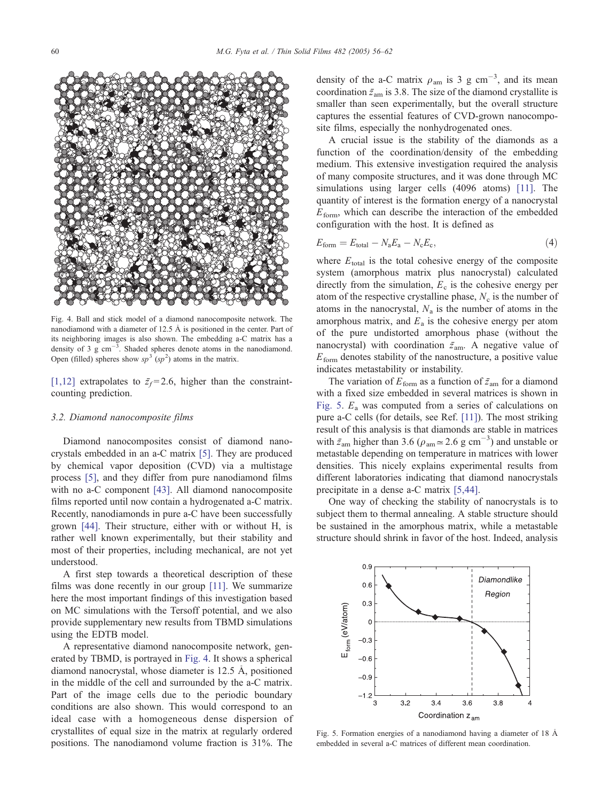<span id="page-4-0"></span>

Fig. 4. Ball and stick model of a diamond nanocomposite network. The nanodiamond with a diameter of 12.5  $\AA$  is positioned in the center. Part of its neighboring images is also shown. The embedding a-C matrix has a density of 3  $g \text{ cm}^{-3}$ . Shaded spheres denote atoms in the nanodiamond. Open (filled) spheres show  $sp^3$  ( $sp^2$ ) atoms in the matrix.

[\[1,12\]](#page-6-0) extrapolates to  $\bar{z}_f = 2.6$ , higher than the constraintcounting prediction.

#### 3.2. Diamond nanocomposite films

Diamond nanocomposites consist of diamond nanocrystals embedded in an a-C matrix [\[5\].](#page-6-0) They are produced by chemical vapor deposition (CVD) via a multistage process [\[5\],](#page-6-0) and they differ from pure nanodiamond films with no a-C component [\[43\].](#page-6-0) All diamond nanocomposite films reported until now contain a hydrogenated a-C matrix. Recently, nanodiamonds in pure a-C have been successfully grown [\[44\]](#page-6-0). Their structure, either with or without H, is rather well known experimentally, but their stability and most of their properties, including mechanical, are not yet understood.

A first step towards a theoretical description of these films was done recently in our group [\[11\].](#page-6-0) We summarize here the most important findings of this investigation based on MC simulations with the Tersoff potential, and we also provide supplementary new results from TBMD simulations using the EDTB model.

A representative diamond nanocomposite network, generated by TBMD, is portrayed in Fig. 4. It shows a spherical diamond nanocrystal, whose diameter is  $12.5 \text{ Å}$ , positioned in the middle of the cell and surrounded by the a-C matrix. Part of the image cells due to the periodic boundary conditions are also shown. This would correspond to an ideal case with a homogeneous dense dispersion of crystallites of equal size in the matrix at regularly ordered positions. The nanodiamond volume fraction is 31%. The

density of the a-C matrix  $\rho_{am}$  is 3 g cm<sup>-3</sup>, and its mean coordination  $\bar{z}_{am}$  is 3.8. The size of the diamond crystallite is smaller than seen experimentally, but the overall structure captures the essential features of CVD-grown nanocomposite films, especially the nonhydrogenated ones.

A crucial issue is the stability of the diamonds as a function of the coordination/density of the embedding medium. This extensive investigation required the analysis of many composite structures, and it was done through MC simulations using larger cells (4096 atoms) [\[11\].](#page-6-0) The quantity of interest is the formation energy of a nanocrystal  $E_{\text{form}}$ , which can describe the interaction of the embedded configuration with the host. It is defined as

$$
E_{\text{form}} = E_{\text{total}} - N_a E_a - N_c E_c,\tag{4}
$$

where  $E_{total}$  is the total cohesive energy of the composite system (amorphous matrix plus nanocrystal) calculated directly from the simulation,  $E_c$  is the cohesive energy per atom of the respective crystalline phase,  $N_c$  is the number of atoms in the nanocrystal,  $N_a$  is the number of atoms in the amorphous matrix, and  $E_a$  is the cohesive energy per atom of the pure undistorted amorphous phase (without the nanocrystal) with coordination  $\bar{z}_{am}$ . A negative value of  $E_{\text{form}}$  denotes stability of the nanostructure, a positive value indicates metastability or instability.

The variation of  $E_{\text{form}}$  as a function of  $\bar{z}_{\text{am}}$  for a diamond with a fixed size embedded in several matrices is shown in Fig. 5.  $E_a$  was computed from a series of calculations on pure a-C cells (for details, see Ref. [\[11\]\)](#page-6-0). The most striking result of this analysis is that diamonds are stable in matrices with  $\bar{z}_{\text{am}}$  higher than 3.6 ( $\rho_{\text{am}} \approx 2.6$  g cm<sup>-3</sup>) and unstable or metastable depending on temperature in matrices with lower densities. This nicely explains experimental results from different laboratories indicating that diamond nanocrystals precipitate in a dense a-C matrix [\[5,44\].](#page-6-0)

One way of checking the stability of nanocrystals is to subject them to thermal annealing. A stable structure should be sustained in the amorphous matrix, while a metastable structure should shrink in favor of the host. Indeed, analysis



Fig. 5. Formation energies of a nanodiamond having a diameter of  $18 \text{ Å}$ embedded in several a-C matrices of different mean coordination.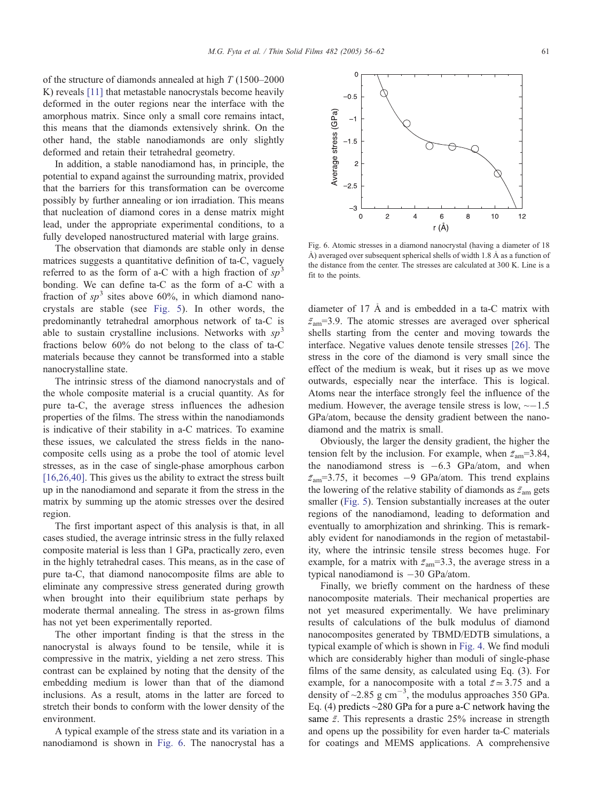fit to the points.

of the structure of diamonds annealed at high T (1500–2000 K) reveals [\[11\]](#page-6-0) that metastable nanocrystals become heavily deformed in the outer regions near the interface with the amorphous matrix. Since only a small core remains intact, this means that the diamonds extensively shrink. On the other hand, the stable nanodiamonds are only slightly deformed and retain their tetrahedral geometry.

In addition, a stable nanodiamond has, in principle, the potential to expand against the surrounding matrix, provided that the barriers for this transformation can be overcome possibly by further annealing or ion irradiation. This means that nucleation of diamond cores in a dense matrix might lead, under the appropriate experimental conditions, to a fully developed nanostructured material with large grains.

The observation that diamonds are stable only in dense matrices suggests a quantitative definition of ta-C, vaguely referred to as the form of a-C with a high fraction of  $sp<sup>3</sup>$ bonding. We can define ta-C as the form of a-C with a fraction of  $sp^3$  sites above 60%, in which diamond nanocrystals are stable (see [Fig. 5\)](#page-4-0). In other words, the predominantly tetrahedral amorphous network of ta-C is able to sustain crystalline inclusions. Networks with  $sp<sup>3</sup>$ fractions below 60% do not belong to the class of ta-C materials because they cannot be transformed into a stable nanocrystalline state.

The intrinsic stress of the diamond nanocrystals and of the whole composite material is a crucial quantity. As for pure ta-C, the average stress influences the adhesion properties of the films. The stress within the nanodiamonds is indicative of their stability in a-C matrices. To examine these issues, we calculated the stress fields in the nanocomposite cells using as a probe the tool of atomic level stresses, as in the case of single-phase amorphous carbon [\[16,26,40\].](#page-6-0) This gives us the ability to extract the stress built up in the nanodiamond and separate it from the stress in the matrix by summing up the atomic stresses over the desired region.

The first important aspect of this analysis is that, in all cases studied, the average intrinsic stress in the fully relaxed composite material is less than 1 GPa, practically zero, even in the highly tetrahedral cases. This means, as in the case of pure ta-C, that diamond nanocomposite films are able to eliminate any compressive stress generated during growth when brought into their equilibrium state perhaps by moderate thermal annealing. The stress in as-grown films has not yet been experimentally reported.

The other important finding is that the stress in the nanocrystal is always found to be tensile, while it is compressive in the matrix, yielding a net zero stress. This contrast can be explained by noting that the density of the embedding medium is lower than that of the diamond inclusions. As a result, atoms in the latter are forced to stretch their bonds to conform with the lower density of the environment.

A typical example of the stress state and its variation in a nanodiamond is shown in Fig. 6. The nanocrystal has a

Ç,  $\mathbf 0$  $\overline{c}$  $\overline{4}$  $\,$  6  $\,$ 8  $10$  $12$ r (Å) Fig. 6. Atomic stresses in a diamond nanocrystal (having a diameter of 18 Å) averaged over subsequent spherical shells of width 1.8 Å as a function of the distance from the center. The stresses are calculated at 300 K. Line is a

diameter of  $17 \text{ Å}$  and is embedded in a ta-C matrix with  $\bar{z}_{am}$ =3.9. The atomic stresses are averaged over spherical shells starting from the center and moving towards the interface. Negative values denote tensile stresses [\[26\].](#page-6-0) The stress in the core of the diamond is very small since the effect of the medium is weak, but it rises up as we move outwards, especially near the interface. This is logical. Atoms near the interface strongly feel the influence of the medium. However, the average tensile stress is low,  $\sim$  -1.5 GPa/atom, because the density gradient between the nanodiamond and the matrix is small.

Obviously, the larger the density gradient, the higher the tension felt by the inclusion. For example, when  $\bar{z}_{am}=3.84$ , the nanodiamond stress is  $-6.3$  GPa/atom, and when  $\bar{z}_{am}$ =3.75, it becomes -9 GPa/atom. This trend explains the lowering of the relative stability of diamonds as  $\bar{z}_{am}$  gets smaller ([Fig. 5\)](#page-4-0). Tension substantially increases at the outer regions of the nanodiamond, leading to deformation and eventually to amorphization and shrinking. This is remarkably evident for nanodiamonds in the region of metastability, where the intrinsic tensile stress becomes huge. For example, for a matrix with  $\bar{z}_{am}=3.3$ , the average stress in a typical nanodiamond is  $-30$  GPa/atom.

Finally, we briefly comment on the hardness of these nanocomposite materials. Their mechanical properties are not yet measured experimentally. We have preliminary results of calculations of the bulk modulus of diamond nanocomposites generated by TBMD/EDTB simulations, a typical example of which is shown in [Fig. 4.](#page-4-0) We find moduli which are considerably higher than moduli of single-phase films of the same density, as calculated using Eq. (3). For example, for a nanocomposite with a total  $\bar{z} \approx 3.75$  and a density of  $\sim$ 2.85 g cm<sup>-3</sup>, the modulus approaches 350 GPa. Eq. (4) predicts  $\sim$ 280 GPa for a pure a-C network having the same  $\bar{z}$ . This represents a drastic 25% increase in strength and opens up the possibility for even harder ta-C materials for coatings and MEMS applications. A comprehensive